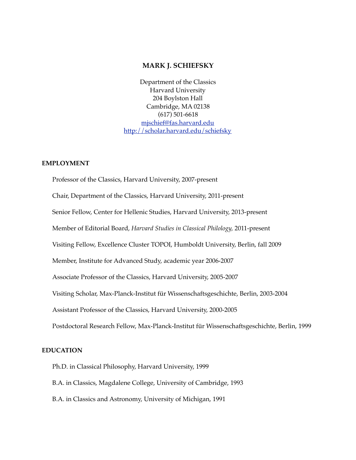### **MARK J. SCHIEFSKY**

Department of the Classics Harvard University 204 Boylston Hall Cambridge, MA 02138 (617) 501-6618 [mjschief@fas.harvard.edu](mailto:mjschief@fas.harvard.edu) <http://scholar.harvard.edu/schiefsky>

### **EMPLOYMENT**

Professor of the Classics, Harvard University, 2007-present Chair, Department of the Classics, Harvard University, 2011-present Senior Fellow, Center for Hellenic Studies, Harvard University, 2013-present Member of Editorial Board, *Harvard Studies in Classical Philology,* 2011-present Visiting Fellow, Excellence Cluster TOPOI, Humboldt University, Berlin, fall 2009 Member, Institute for Advanced Study, academic year 2006-2007 Associate Professor of the Classics, Harvard University, 2005-2007 Visiting Scholar, Max-Planck-Institut für Wissenschaftsgeschichte, Berlin, 2003-2004 Assistant Professor of the Classics, Harvard University, 2000-2005 Postdoctoral Research Fellow, Max-Planck-Institut für Wissenschaftsgeschichte, Berlin, 1999

#### **EDUCATION**

Ph.D. in Classical Philosophy, Harvard University, 1999

B.A. in Classics, Magdalene College, University of Cambridge, 1993

B.A. in Classics and Astronomy, University of Michigan, 1991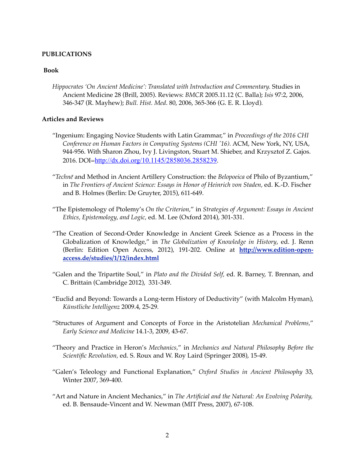### **PUBLICATIONS**

#### **Book**

*Hippocrates 'On Ancient Medicine': Translated with Introduction and Commentary.* Studies in Ancient Medicine 28 (Brill, 2005). Reviews: *BMCR* 2005.11.12 (C. Balla); *Isis* 97:2, 2006, 346-347 (R. Mayhew); *Bull. Hist. Med*. 80, 2006, 365-366 (G. E. R. Lloyd).

### **Articles and Reviews**

- "Ingenium: Engaging Novice Students with Latin Grammar," in *Proceedings of the 2016 CHI Conference on Human Factors in Computing Systems (CHI '16).* ACM, New York, NY, USA, 944-956. With Sharon Zhou, Ivy J. Livingston, Stuart M. Shieber, and Krzysztof Z. Gajos. 2016. DOI=<http://dx.doi.org/10.1145/2858036.2858239>.
- "*Technē* and Method in Ancient Artillery Construction: the *Belopoeica* of Philo of Byzantium," in *The Frontiers of Ancient Science: Essays in Honor of Heinrich von Staden,* ed. K.-D. Fischer and B. Holmes (Berlin: De Gruyter, 2015), 611-649.
- "The Epistemology of Ptolemy's *On the Criterion,*" in *Strategies of Argument: Essays in Ancient Ethics, Epistemology, and Logic,* ed. M. Lee (Oxford 2014), 301-331.
- "The Creation of Second-Order Knowledge in Ancient Greek Science as a Process in the Globalization of Knowledge," in *The Globalization of Knowledge in History*, ed. J. Renn [\(Berlin: Edition Open Access, 2012\), 191-202. Online at](http://www.edition-open-access.de/studies/1/12/index.html) **http://www.edition-openaccess.de/studies/1/12/index.html**
- "Galen and the Tripartite Soul," in *Plato and the Divided Self,* ed. R. Barney, T. Brennan, and C. Brittain (Cambridge 2012), 331-349.
- "Euclid and Beyond: Towards a Long-term History of Deductivity" (with Malcolm Hyman), *Künstliche Intelligenz* 2009.4, 25-29*.*
- "Structures of Argument and Concepts of Force in the Aristotelian *Mechanical Problems,*" *Early Science and Medicine* 14.1-3, 2009, 43-67.
- "Theory and Practice in Heron's *Mechanics,*" in *Mechanics and Natural Philosophy Before the Scientific Revolution,* ed. S. Roux and W. Roy Laird (Springer 2008), 15-49.
- "Galen's Teleology and Functional Explanation," *Oxford Studies in Ancient Philosophy* 33, Winter 2007, 369-400.
- "Art and Nature in Ancient Mechanics," in *The Artificial and the Natural: An Evolving Polarity,* ed. B. Bensaude-Vincent and W. Newman (MIT Press, 2007), 67-108.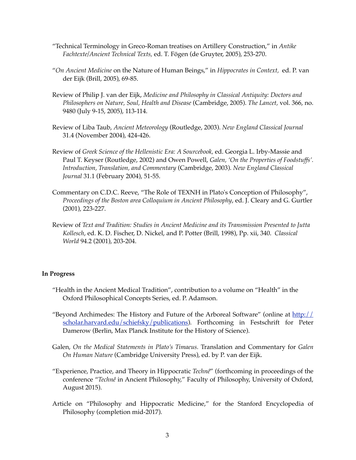- "Technical Terminology in Greco-Roman treatises on Artillery Construction," in *Antike Fachtexte/Ancient Technical Texts,* ed. T. Fögen (de Gruyter, 2005), 253-270.
- "*On Ancient Medicine* on the Nature of Human Beings," in *Hippocrates in Context,* ed. P. van der Eijk (Brill, 2005), 69-85.
- Review of Philip J. van der Eijk, *Medicine and Philosophy in Classical Antiquity: Doctors and Philosophers on Nature, Soul, Health and Disease* (Cambridge, 2005). *The Lancet,* vol. 366, no. 9480 (July 9-15, 2005), 113-114.
- Review of Liba Taub, *Ancient Meteorology* (Routledge, 2003). *New England Classical Journal* 31.4 (November 2004), 424-426.
- Review of *Greek Science of the Hellenistic Era: A Sourcebook,* ed. Georgia L. Irby-Massie and Paul T. Keyser (Routledge, 2002) and Owen Powell, *Galen, 'On the Properties of Foodstuffs'. Introduction, Translation, and Commentary* (Cambridge, 2003). *New England Classical Journal* 31.1 (February 2004), 51-55.
- Commentary on C.D.C. Reeve, "The Role of TEXNH in Plato's Conception of Philosophy", *Proceedings of the Boston area Colloquium in Ancient Philosophy*, ed. J. Cleary and G. Gurtler (2001), 223-227.
- Review of *Text and Tradition: Studies in Ancient Medicine and its Transmission Presented to Jutta Kollesch*, ed. K. D. Fischer, D. Nickel, and P. Potter (Brill, 1998), Pp. xii, 340. *Classical World* 94.2 (2001), 203-204.

#### **In Progress**

- "Health in the Ancient Medical Tradition", contribution to a volume on "Health" in the Oxford Philosophical Concepts Series, ed. P. Adamson.
- "Beyond Archimedes: The History and Future of the Arboreal Software" (online at  $\frac{http://}{http://}$ scholar.harvard.edu/schiefsky/publications). Forthcoming in Festschrift for Peter Damerow (Berlin, Max Planck Institute for the History of Science).
- Galen, *On the Medical Statements in Plato's Timaeus.* Translation and Commentary for *Galen On Human Nature* (Cambridge University Press), ed. by P. van der Eijk.
- "Experience, Practice, and Theory in Hippocratic *Technê*" (forthcoming in proceedings of the conference "*Technê* in Ancient Philosophy," Faculty of Philosophy, University of Oxford, August 2015).
- Article on "Philosophy and Hippocratic Medicine," for the Stanford Encyclopedia of Philosophy (completion mid-2017).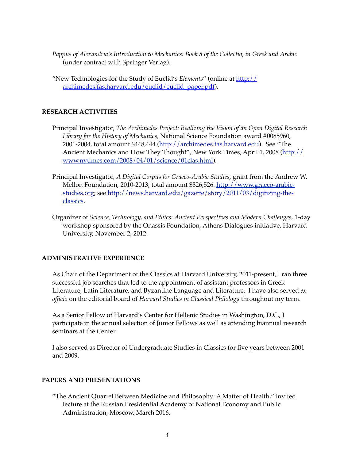- *Pappus of Alexandria's Introduction to Mechanics: Book 8 of the Collectio, in Greek and Arabic* (under contract with Springer Verlag).
- "New Technologies for the Study of Euclid's *Elements*" (online at http:// [archimedes.fas.harvard.edu/euclid/euclid\\_paper.pdf\).](http://archimedes.fas.harvard.edu/euclid/euclid_paper.pdf)

# **RESEARCH ACTIVITIES**

- Principal Investigator, *The Archimedes Project: Realizing the Vision of an Open Digital Research Library for the History of Mechanics,* National Science Foundation award #0085960, 2001-2004, total amount \$448,444 [\(http://archimedes.fas.harvard.edu\)](http://archimedes.fas.harvard.edu). See "The [Ancient Mechanics and How They Thought", New York Times, April 1, 2008 \(http://](http://www.nytimes.com/2008/04/01/science/01clas.html) www.nytimes.com/2008/04/01/science/01clas.html).
- Principal Investigator, *A Digital Corpus for Graeco-Arabic Studies,* grant from the Andrew W. [Mellon Foundation, 2010-2013, total amount \\$326,526. http://www.graeco-arabic](http://www.graeco-arabic-studies.org)[studies.org; see http://news.harvard.edu/gazette/story/2011/03/digitizing-the](http://news.harvard.edu/gazette/story/2011/03/digitizing-the-classics)classics.
- Organizer of *Science, Technology, and Ethics: Ancient Perspectives and Modern Challenges,* 1-day workshop sponsored by the Onassis Foundation, Athens Dialogues initiative, Harvard University, November 2, 2012.

# **ADMINISTRATIVE EXPERIENCE**

As Chair of the Department of the Classics at Harvard University, 2011-present, I ran three successful job searches that led to the appointment of assistant professors in Greek Literature, Latin Literature, and Byzantine Language and Literature. I have also served *ex officio* on the editorial board of *Harvard Studies in Classical Philology* throughout my term.

As a Senior Fellow of Harvard's Center for Hellenic Studies in Washington, D.C., I participate in the annual selection of Junior Fellows as well as attending biannual research seminars at the Center.

I also served as Director of Undergraduate Studies in Classics for five years between 2001 and 2009.

# **PAPERS AND PRESENTATIONS**

"The Ancient Quarrel Between Medicine and Philosophy: A Matter of Health," invited lecture at the Russian Presidential Academy of National Economy and Public Administration, Moscow, March 2016.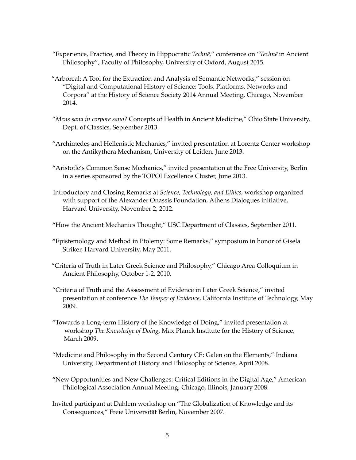- "Experience, Practice, and Theory in Hippocratic *Technê,*" conference on "*Technê* in Ancient Philosophy", Faculty of Philosophy, University of Oxford, August 2015.
- "Arboreal: A Tool for the Extraction and Analysis of Semantic Networks," session on "Digital and Computational History of Science: Tools, Platforms, Networks and Corpora" at the History of Science Society 2014 Annual Meeting, Chicago, November 2014.
- "*Mens sana in corpore sano?* Concepts of Health in Ancient Medicine," Ohio State University, Dept. of Classics, September 2013.
- "Archimedes and Hellenistic Mechanics," invited presentation at Lorentz Center workshop on the Antikythera Mechanism, University of Leiden, June 2013.
- **"**Aristotle's Common Sense Mechanics," invited presentation at the Free University, Berlin in a series sponsored by the TOPOI Excellence Cluster, June 2013.
- Introductory and Closing Remarks at *Science, Technology, and Ethics,* workshop organized with support of the Alexander Onassis Foundation, Athens Dialogues initiative, Harvard University, November 2, 2012.
- **"**How the Ancient Mechanics Thought," USC Department of Classics, September 2011.
- **"**Epistemology and Method in Ptolemy: Some Remarks," symposium in honor of Gisela Striker, Harvard University, May 2011.
- "Criteria of Truth in Later Greek Science and Philosophy," Chicago Area Colloquium in Ancient Philosophy, October 1-2, 2010.
- "Criteria of Truth and the Assessment of Evidence in Later Greek Science," invited presentation at conference *The Temper of Evidence*, California Institute of Technology, May 2009.
- "Towards a Long-term History of the Knowledge of Doing," invited presentation at workshop *The Knowledge of Doing,* Max Planck Institute for the History of Science, March 2009.
- "Medicine and Philosophy in the Second Century CE: Galen on the Elements," Indiana University, Department of History and Philosophy of Science, April 2008.
- **"**New Opportunities and New Challenges: Critical Editions in the Digital Age," American Philological Association Annual Meeting, Chicago, Illinois, January 2008.
- Invited participant at Dahlem workshop on "The Globalization of Knowledge and its Consequences," Freie Universität Berlin, November 2007.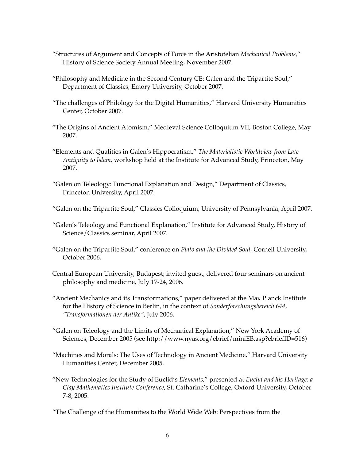- "Structures of Argument and Concepts of Force in the Aristotelian *Mechanical Problems,*" History of Science Society Annual Meeting, November 2007.
- "Philosophy and Medicine in the Second Century CE: Galen and the Tripartite Soul," Department of Classics, Emory University, October 2007.
- "The challenges of Philology for the Digital Humanities," Harvard University Humanities Center, October 2007.
- "The Origins of Ancient Atomism," Medieval Science Colloquium VII, Boston College, May 2007.
- "Elements and Qualities in Galen's Hippocratism," *The Materialistic Worldview from Late Antiquity to Islam,* workshop held at the Institute for Advanced Study, Princeton, May 2007.
- "Galen on Teleology: Functional Explanation and Design," Department of Classics, Princeton University, April 2007.
- "Galen on the Tripartite Soul," Classics Colloquium, University of Pennsylvania, April 2007.
- "Galen's Teleology and Functional Explanation," Institute for Advanced Study, History of Science/Classics seminar, April 2007.
- "Galen on the Tripartite Soul," conference on *Plato and the Divided Soul,* Cornell University, October 2006.
- Central European University, Budapest; invited guest, delivered four seminars on ancient philosophy and medicine, July 17-24, 2006.
- "Ancient Mechanics and its Transformations," paper delivered at the Max Planck Institute for the History of Science in Berlin, in the context of *Sonderforschungsbereich 644, "Transformationen der Antike"*, July 2006.
- "Galen on Teleology and the Limits of Mechanical Explanation," New York Academy of Sciences, December 2005 (see http://www.nyas.org/ebrief/miniEB.asp?ebriefID=516)
- "Machines and Morals: The Uses of Technology in Ancient Medicine," Harvard University Humanities Center, December 2005.
- "New Technologies for the Study of Euclid's *Elements,*" presented at *Euclid and his Heritage: a Clay Mathematics Institute Conference*, St. Catharine's College, Oxford University, October 7-8, 2005.
- "The Challenge of the Humanities to the World Wide Web: Perspectives from the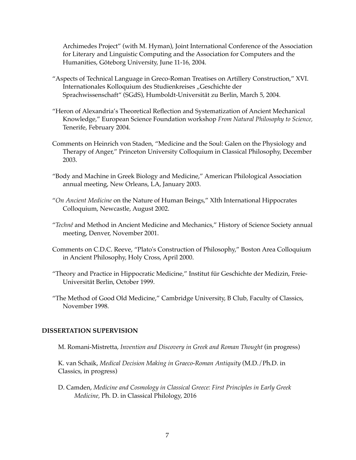Archimedes Project" (with M. Hyman), Joint International Conference of the Association for Literary and Linguistic Computing and the Association for Computers and the Humanities, Göteborg University, June 11-16, 2004.

- "Aspects of Technical Language in Greco-Roman Treatises on Artillery Construction," XVI. Internationales Kolloquium des Studienkreises "Geschichte der Sprachwissenschaft" (SGdS), Humboldt-Universität zu Berlin, March 5, 2004.
- "Heron of Alexandria's Theoretical Reflection and Systematization of Ancient Mechanical Knowledge," European Science Foundation workshop *From Natural Philosophy to Science,* Tenerife, February 2004.
- Comments on Heinrich von Staden, "Medicine and the Soul: Galen on the Physiology and Therapy of Anger," Princeton University Colloquium in Classical Philosophy, December 2003.
- "Body and Machine in Greek Biology and Medicine," American Philological Association annual meeting, New Orleans, LA, January 2003.
- "*On Ancient Medicine* on the Nature of Human Beings," XIth International Hippocrates Colloquium, Newcastle, August 2002.
- "*Technê* and Method in Ancient Medicine and Mechanics," History of Science Society annual meeting, Denver, November 2001.
- Comments on C.D.C. Reeve, "Plato's Construction of Philosophy," Boston Area Colloquium in Ancient Philosophy, Holy Cross, April 2000.
- "Theory and Practice in Hippocratic Medicine," Institut für Geschichte der Medizin, Freie-Universität Berlin, October 1999.
- "The Method of Good Old Medicine," Cambridge University, B Club, Faculty of Classics, November 1998.

### **DISSERTATION SUPERVISION**

M. Romani-Mistretta, *Invention and Discovery in Greek and Roman Thought* (in progress)

K. van Schaik, *Medical Decision Making in Graeco-Roman Antiquity* (M.D./Ph.D. in Classics, in progress)

D. Camden, *Medicine and Cosmology in Classical Greece: First Principles in Early Greek Medicine,* Ph. D. in Classical Philology, 2016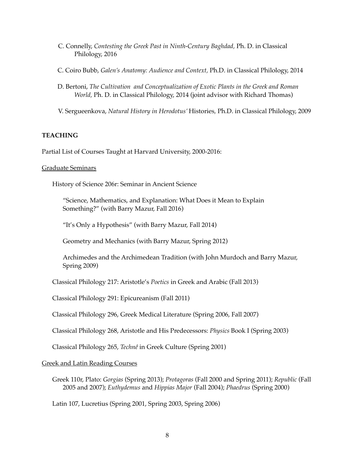- C. Connelly, *Contesting the Greek Past in Ninth-Century Baghdad,* Ph. D. in Classical Philology, 2016
- C. Coiro Bubb, *Galen's Anatomy: Audience and Context,* Ph.D. in Classical Philology, 2014
- D. Bertoni, *The Cultivation and Conceptualization of Exotic Plants in the Greek and Roman World,* Ph. D. in Classical Philology, 2014 (joint advisor with Richard Thomas)
- V. Sergueenkova, *Natural History in Herodotus'* Histories*,* Ph.D. in Classical Philology, 2009

# **TEACHING**

Partial List of Courses Taught at Harvard University, 2000-2016:

### Graduate Seminars

History of Science 206r: Seminar in Ancient Science

"Science, Mathematics, and Explanation: What Does it Mean to Explain Something?" (with Barry Mazur, Fall 2016)

"It's Only a Hypothesis" (with Barry Mazur, Fall 2014)

Geometry and Mechanics (with Barry Mazur, Spring 2012)

Archimedes and the Archimedean Tradition (with John Murdoch and Barry Mazur, Spring 2009)

Classical Philology 217: Aristotle's *Poetics* in Greek and Arabic (Fall 2013)

Classical Philology 291: Epicureanism (Fall 2011)

Classical Philology 296, Greek Medical Literature (Spring 2006, Fall 2007)

Classical Philology 268, Aristotle and His Predecessors: *Physics* Book I (Spring 2003)

Classical Philology 265, *Technê* in Greek Culture (Spring 2001)

# Greek and Latin Reading Courses

Greek 110r, Plato: *Gorgias* (Spring 2013); *Protagoras* (Fall 2000 and Spring 2011); *Republic* (Fall 2005 and 2007); *Euthydemus* and *Hippias Major* (Fall 2004); *Phaedrus* (Spring 2000)

Latin 107, Lucretius (Spring 2001, Spring 2003, Spring 2006)